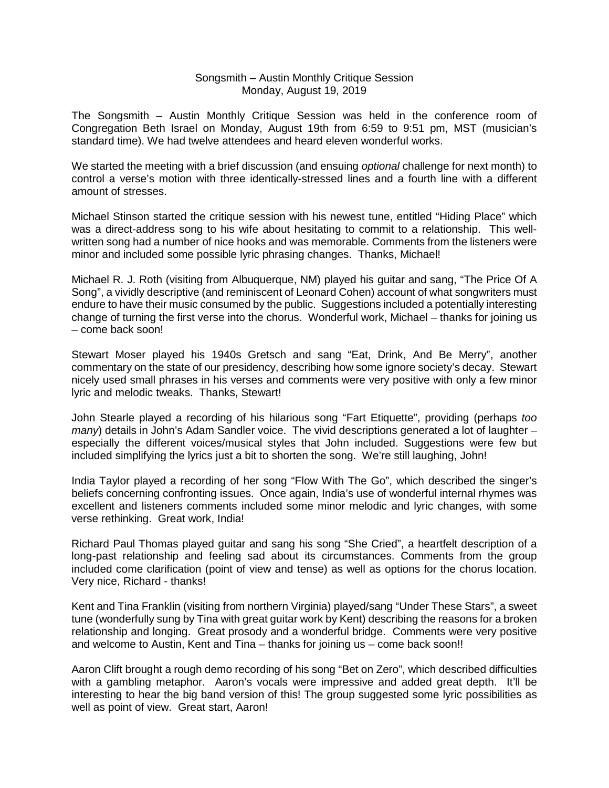## Songsmith – Austin Monthly Critique Session Monday, August 19, 2019

The Songsmith – Austin Monthly Critique Session was held in the conference room of Congregation Beth Israel on Monday, August 19th from 6:59 to 9:51 pm, MST (musician's standard time). We had twelve attendees and heard eleven wonderful works.

We started the meeting with a brief discussion (and ensuing *optional* challenge for next month) to control a verse's motion with three identically-stressed lines and a fourth line with a different amount of stresses.

Michael Stinson started the critique session with his newest tune, entitled "Hiding Place" which was a direct-address song to his wife about hesitating to commit to a relationship. This wellwritten song had a number of nice hooks and was memorable. Comments from the listeners were minor and included some possible lyric phrasing changes. Thanks, Michael!

Michael R. J. Roth (visiting from Albuquerque, NM) played his guitar and sang, "The Price Of A Song", a vividly descriptive (and reminiscent of Leonard Cohen) account of what songwriters must endure to have their music consumed by the public. Suggestions included a potentially interesting change of turning the first verse into the chorus. Wonderful work, Michael – thanks for joining us – come back soon!

Stewart Moser played his 1940s Gretsch and sang "Eat, Drink, And Be Merry", another commentary on the state of our presidency, describing how some ignore society's decay. Stewart nicely used small phrases in his verses and comments were very positive with only a few minor lyric and melodic tweaks. Thanks, Stewart!

John Stearle played a recording of his hilarious song "Fart Etiquette", providing (perhaps *too many*) details in John's Adam Sandler voice. The vivid descriptions generated a lot of laughter – especially the different voices/musical styles that John included. Suggestions were few but included simplifying the lyrics just a bit to shorten the song. We're still laughing, John!

India Taylor played a recording of her song "Flow With The Go", which described the singer's beliefs concerning confronting issues. Once again, India's use of wonderful internal rhymes was excellent and listeners comments included some minor melodic and lyric changes, with some verse rethinking. Great work, India!

Richard Paul Thomas played guitar and sang his song "She Cried", a heartfelt description of a long-past relationship and feeling sad about its circumstances. Comments from the group included come clarification (point of view and tense) as well as options for the chorus location. Very nice, Richard - thanks!

Kent and Tina Franklin (visiting from northern Virginia) played/sang "Under These Stars", a sweet tune (wonderfully sung by Tina with great guitar work by Kent) describing the reasons for a broken relationship and longing. Great prosody and a wonderful bridge. Comments were very positive and welcome to Austin, Kent and Tina – thanks for joining us – come back soon!!

Aaron Clift brought a rough demo recording of his song "Bet on Zero", which described difficulties with a gambling metaphor. Aaron's vocals were impressive and added great depth. It'll be interesting to hear the big band version of this! The group suggested some lyric possibilities as well as point of view. Great start, Aaron!